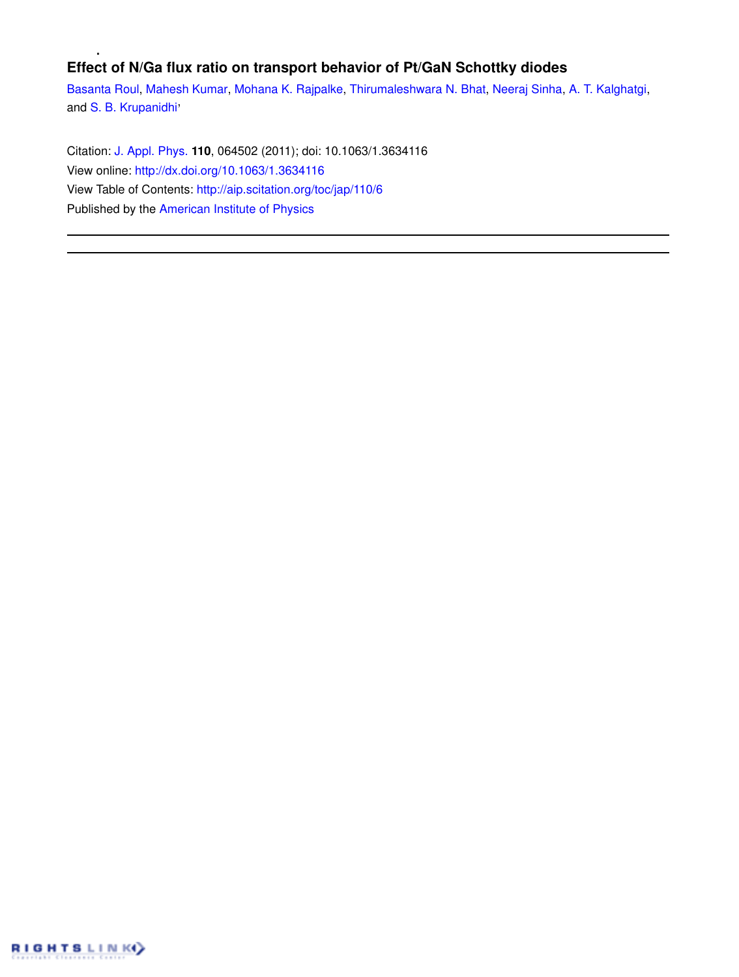# **Effect of N/Ga flux ratio on transport behavior of Pt/GaN Schottky diodes**

Basanta Roul, Mahesh Kumar, Mohana K. Rajpalke, Thirumaleshwara N. Bhat, Neeraj Sinha, A. T. Kalghatgi, and S. B. Krupanidhi<sup>,</sup>

Citation: J. Appl. Phys. **110**, 064502 (2011); doi: 10.1063/1.3634116 View online: http://dx.doi.org/10.1063/1.3634116 View Table of Contents: http://aip.scitation.org/toc/jap/110/6 Published by the American Institute of Physics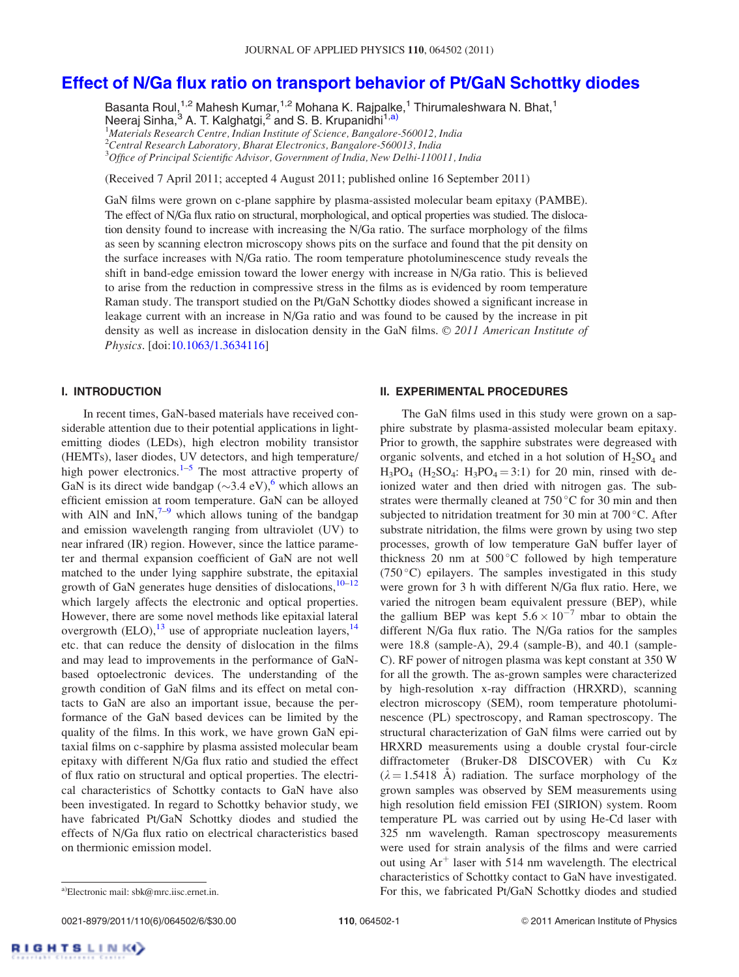## Effect of N/Ga flux ratio on transport behavior of Pt/GaN Schottky diodes

Basanta Roul,<sup>1,2</sup> Mahesh Kumar,<sup>1,2</sup> Mohana K. Rajpalke,<sup>1</sup> Thirumaleshwara N. Bhat,<sup>1</sup> Neeraj Sinha,<sup>3</sup> A. T. Kalghatgi,<sup>2</sup> and S. B. Krupanidni<sup>1,a)</sup>  $1$ Materials Research Centre, Indian Institute of Science, Bangalore-560012, India  $^{2}$ Central Research Laboratory, Bharat Electronics, Bangalore-560013, India <sup>3</sup>Office of Principal Scientific Advisor, Government of India, New Delhi-110011, India

(Received 7 April 2011; accepted 4 August 2011; published online 16 September 2011)

GaN films were grown on c-plane sapphire by plasma-assisted molecular beam epitaxy (PAMBE). The effect of N/Ga flux ratio on structural, morphological, and optical properties was studied. The dislocation density found to increase with increasing the N/Ga ratio. The surface morphology of the films as seen by scanning electron microscopy shows pits on the surface and found that the pit density on the surface increases with N/Ga ratio. The room temperature photoluminescence study reveals the shift in band-edge emission toward the lower energy with increase in N/Ga ratio. This is believed to arise from the reduction in compressive stress in the films as is evidenced by room temperature Raman study. The transport studied on the Pt/GaN Schottky diodes showed a significant increase in leakage current with an increase in N/Ga ratio and was found to be caused by the increase in pit density as well as increase in dislocation density in the GaN films.  $© 2011$  American Institute of Physics. [doi:10.1063/1.3634116]

## I. INTRODUCTION

In recent times, GaN-based materials have received considerable attention due to their potential applications in lightemitting diodes (LEDs), high electron mobility transistor (HEMTs), laser diodes, UV detectors, and high temperature/ high power electronics.<sup>1–5</sup> The most attractive property of GaN is its direct wide bandgap  $(\sim 3.4 \text{ eV})$ , which allows an efficient emission at room temperature. GaN can be alloyed with AlN and  $InN<sub>1</sub><sup>7–9</sup>$  which allows tuning of the bandgap and emission wavelength ranging from ultraviolet (UV) to near infrared (IR) region. However, since the lattice parameter and thermal expansion coefficient of GaN are not well matched to the under lying sapphire substrate, the epitaxial growth of GaN generates huge densities of dislocations,  $10-12$ which largely affects the electronic and optical properties. However, there are some novel methods like epitaxial lateral overgrowth  $(ELO)$ ,<sup>13</sup> use of appropriate nucleation layers,<sup>14</sup> etc. that can reduce the density of dislocation in the films and may lead to improvements in the performance of GaNbased optoelectronic devices. The understanding of the growth condition of GaN films and its effect on metal contacts to GaN are also an important issue, because the performance of the GaN based devices can be limited by the quality of the films. In this work, we have grown GaN epitaxial films on c-sapphire by plasma assisted molecular beam epitaxy with different N/Ga flux ratio and studied the effect of flux ratio on structural and optical properties. The electrical characteristics of Schottky contacts to GaN have also been investigated. In regard to Schottky behavior study, we have fabricated Pt/GaN Schottky diodes and studied the effects of N/Ga flux ratio on electrical characteristics based on thermionic emission model.

#### II. EXPERIMENTAL PROCEDURES

The GaN films used in this study were grown on a sapphire substrate by plasma-assisted molecular beam epitaxy. Prior to growth, the sapphire substrates were degreased with organic solvents, and etched in a hot solution of  $H_2SO_4$  and  $H_3PO_4$  ( $H_2SO_4$ :  $H_3PO_4 = 3:1$ ) for 20 min, rinsed with deionized water and then dried with nitrogen gas. The substrates were thermally cleaned at  $750^{\circ}$ C for 30 min and then subjected to nitridation treatment for 30 min at  $700\,^{\circ}$ C. After substrate nitridation, the films were grown by using two step processes, growth of low temperature GaN buffer layer of thickness 20 nm at  $500^{\circ}$ C followed by high temperature (750 $\degree$ C) epilayers. The samples investigated in this study were grown for 3 h with different N/Ga flux ratio. Here, we varied the nitrogen beam equivalent pressure (BEP), while the gallium BEP was kept  $5.6 \times 10^{-7}$  mbar to obtain the different N/Ga flux ratio. The N/Ga ratios for the samples were 18.8 (sample-A), 29.4 (sample-B), and 40.1 (sample-C). RF power of nitrogen plasma was kept constant at 350 W for all the growth. The as-grown samples were characterized by high-resolution x-ray diffraction (HRXRD), scanning electron microscopy (SEM), room temperature photoluminescence (PL) spectroscopy, and Raman spectroscopy. The structural characterization of GaN films were carried out by HRXRD measurements using a double crystal four-circle diffractometer (Bruker-D8 DISCOVER) with Cu Ka  $(\lambda = 1.5418 \text{ Å})$  radiation. The surface morphology of the grown samples was observed by SEM measurements using high resolution field emission FEI (SIRION) system. Room temperature PL was carried out by using He-Cd laser with 325 nm wavelength. Raman spectroscopy measurements were used for strain analysis of the films and were carried out using  $Ar^+$  laser with 514 nm wavelength. The electrical characteristics of Schottky contact to GaN have investigated. a)Electronic mail: sbk@mrc.iisc.ernet.in. **Example 2018** For this, we fabricated Pt/GaN Schottky diodes and studied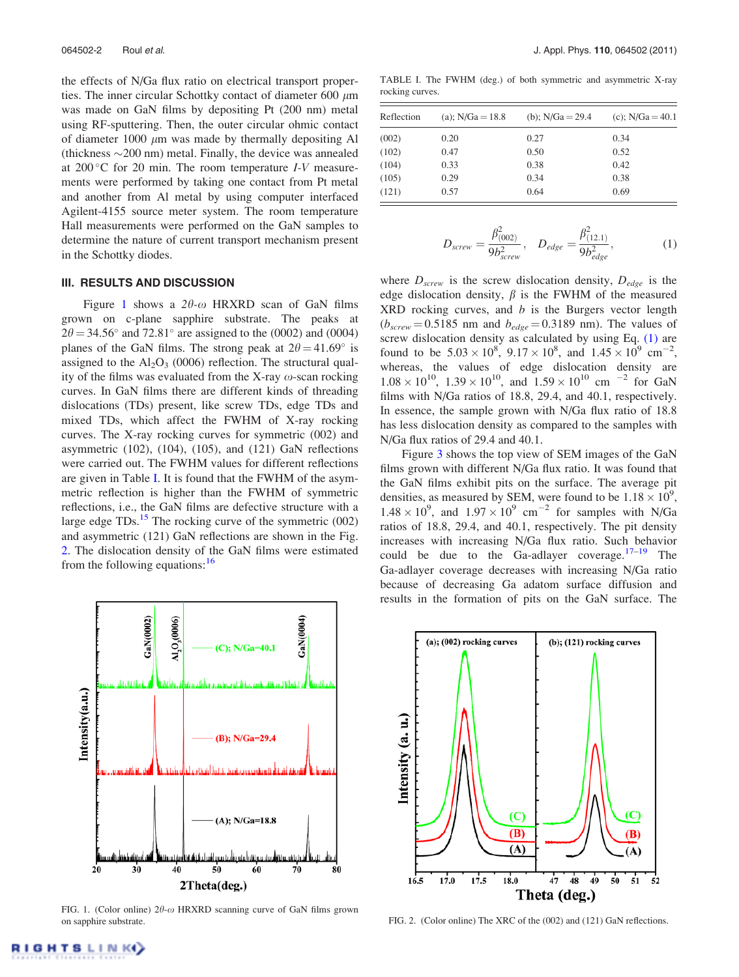the effects of N/Ga flux ratio on electrical transport properties. The inner circular Schottky contact of diameter 600  $\mu$ m was made on GaN films by depositing Pt (200 nm) metal using RF-sputtering. Then, the outer circular ohmic contact of diameter 1000  $\mu$ m was made by thermally depositing Al (thickness  $\sim$  200 nm) metal. Finally, the device was annealed at  $200\degree$ C for 20 min. The room temperature *I-V* measurements were performed by taking one contact from Pt metal and another from Al metal by using computer interfaced Agilent-4155 source meter system. The room temperature Hall measurements were performed on the GaN samples to determine the nature of current transport mechanism present in the Schottky diodes.

### III. RESULTS AND DISCUSSION

Figure 1 shows a  $2\theta$ - $\omega$  HRXRD scan of GaN films grown on c-plane sapphire substrate. The peaks at  $2\theta = 34.56^{\circ}$  and  $72.81^{\circ}$  are assigned to the (0002) and (0004) planes of the GaN films. The strong peak at  $2\theta = 41.69^{\circ}$  is assigned to the  $Al_2O_3$  (0006) reflection. The structural quality of the films was evaluated from the X-ray  $\omega$ -scan rocking curves. In GaN films there are different kinds of threading dislocations (TDs) present, like screw TDs, edge TDs and mixed TDs, which affect the FWHM of X-ray rocking curves. The X-ray rocking curves for symmetric (002) and asymmetric (102), (104), (105), and (121) GaN reflections were carried out. The FWHM values for different reflections are given in Table I. It is found that the FWHM of the asymmetric reflection is higher than the FWHM of symmetric reflections, i.e., the GaN films are defective structure with a large edge  $TDs<sup>15</sup>$ . The rocking curve of the symmetric (002) and asymmetric (121) GaN reflections are shown in the Fig. 2. The dislocation density of the GaN films were estimated from the following equations:  $16$ 



FIG. 1. (Color online)  $2\theta$ - $\omega$  HRXRD scanning curve of GaN films grown on sapphire substrate.

TABLE I. The FWHM (deg.) of both symmetric and asymmetric X-ray rocking curves.

| Reflection | (a); $N/Ga = 18.8$ | (b); $N/Ga = 29.4$ | (c); $N/Ga = 40.1$ |
|------------|--------------------|--------------------|--------------------|
| (002)      | 0.20               | 0.27               | 0.34               |
| (102)      | 0.47               | 0.50               | 0.52               |
| (104)      | 0.33               | 0.38               | 0.42               |
| (105)      | 0.29               | 0.34               | 0.38               |
| (121)      | 0.57               | 0.64               | 0.69               |

$$
D_{screw} = \frac{\beta_{(002)}^2}{9b_{screw}^2}, \quad D_{edge} = \frac{\beta_{(12.1)}^2}{9b_{edge}^2}, \tag{1}
$$

where  $D_{screw}$  is the screw dislocation density,  $D_{edge}$  is the edge dislocation density,  $\beta$  is the FWHM of the measured  $XRD$  rocking curves, and  $b$  is the Burgers vector length  $(b_{screw} = 0.5185$  nm and  $b_{edge} = 0.3189$  nm). The values of screw dislocation density as calculated by using Eq. (1) are found to be  $5.03 \times 10^8$ ,  $9.17 \times 10^8$ , and  $1.45 \times 10^9$  cm<sup>-2</sup>, whereas, the values of edge dislocation density are  $1.08 \times 10^{10}$ ,  $1.39 \times 10^{10}$ , and  $1.59 \times 10^{10}$  cm <sup>-2</sup> for GaN films with N/Ga ratios of 18.8, 29.4, and 40.1, respectively. In essence, the sample grown with N/Ga flux ratio of 18.8 has less dislocation density as compared to the samples with N/Ga flux ratios of 29.4 and 40.1.

Figure 3 shows the top view of SEM images of the GaN films grown with different N/Ga flux ratio. It was found that the GaN films exhibit pits on the surface. The average pit densities, as measured by SEM, were found to be  $1.18 \times 10^9$ ,  $1.48 \times 10^{9}$ , and  $1.97 \times 10^{9}$  cm<sup>-2</sup> for samples with N/Ga ratios of 18.8, 29.4, and 40.1, respectively. The pit density increases with increasing N/Ga flux ratio. Such behavior could be due to the Ga-adlayer coverage. $17-19$  The Ga-adlayer coverage decreases with increasing N/Ga ratio because of decreasing Ga adatom surface diffusion and results in the formation of pits on the GaN surface. The



FIG. 2. (Color online) The XRC of the (002) and (121) GaN reflections.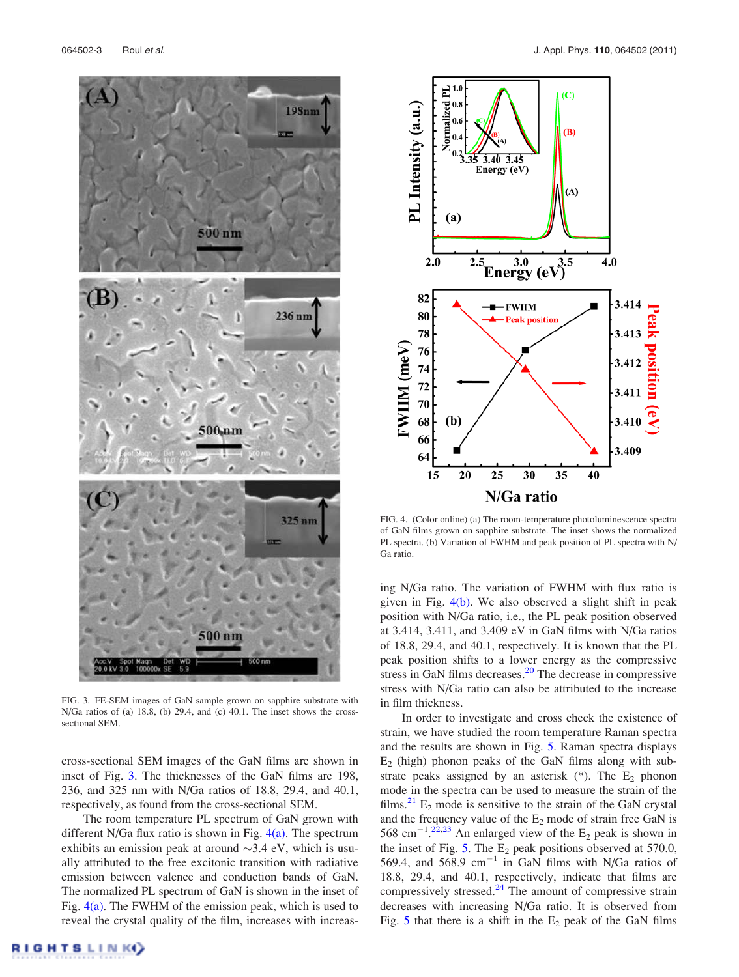

FIG. 3. FE-SEM images of GaN sample grown on sapphire substrate with N/Ga ratios of (a) 18.8, (b) 29.4, and (c) 40.1. The inset shows the crosssectional SEM.

cross-sectional SEM images of the GaN films are shown in inset of Fig. 3. The thicknesses of the GaN films are 198, 236, and 325 nm with N/Ga ratios of 18.8, 29.4, and 40.1, respectively, as found from the cross-sectional SEM.

The room temperature PL spectrum of GaN grown with different N/Ga flux ratio is shown in Fig.  $4(a)$ . The spectrum exhibits an emission peak at around  $\sim$ 3.4 eV, which is usually attributed to the free excitonic transition with radiative emission between valence and conduction bands of GaN. The normalized PL spectrum of GaN is shown in the inset of Fig.  $4(a)$ . The FWHM of the emission peak, which is used to reveal the crystal quality of the film, increases with increas-



FIG. 4. (Color online) (a) The room-temperature photoluminescence spectra of GaN films grown on sapphire substrate. The inset shows the normalized PL spectra. (b) Variation of FWHM and peak position of PL spectra with N/ Ga ratio.

ing N/Ga ratio. The variation of FWHM with flux ratio is given in Fig. 4(b). We also observed a slight shift in peak position with N/Ga ratio, i.e., the PL peak position observed at 3.414, 3.411, and 3.409 eV in GaN films with N/Ga ratios of 18.8, 29.4, and 40.1, respectively. It is known that the PL peak position shifts to a lower energy as the compressive stress in GaN films decreases.<sup>20</sup> The decrease in compressive stress with N/Ga ratio can also be attributed to the increase in film thickness.

In order to investigate and cross check the existence of strain, we have studied the room temperature Raman spectra and the results are shown in Fig. 5. Raman spectra displays  $E<sub>2</sub>$  (high) phonon peaks of the GaN films along with substrate peaks assigned by an asterisk  $(*)$ . The  $E_2$  phonon mode in the spectra can be used to measure the strain of the films.<sup>21</sup> E<sub>2</sub> mode is sensitive to the strain of the GaN crystal and the frequency value of the  $E_2$  mode of strain free GaN is 568 cm<sup>-1</sup>.<sup>22,23</sup> An enlarged view of the  $E_2$  peak is shown in the inset of Fig. 5. The  $E_2$  peak positions observed at 570.0, 569.4, and 568.9  $cm^{-1}$  in GaN films with N/Ga ratios of 18.8, 29.4, and 40.1, respectively, indicate that films are compressively stressed. $^{24}$  The amount of compressive strain decreases with increasing N/Ga ratio. It is observed from Fig. 5 that there is a shift in the  $E_2$  peak of the GaN films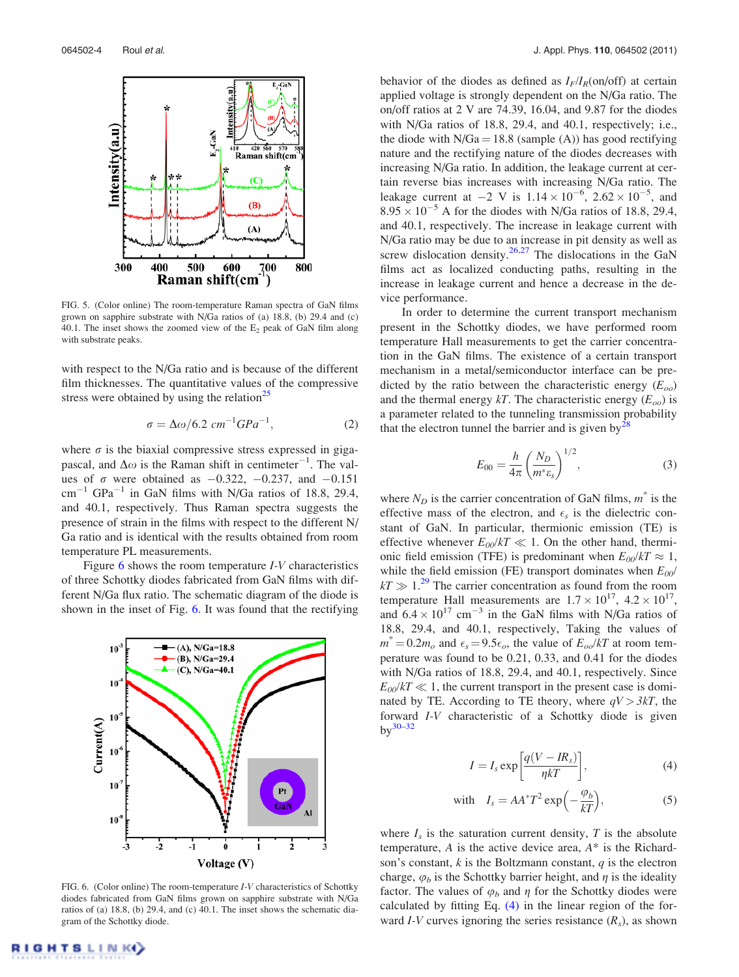

FIG. 5. (Color online) The room-temperature Raman spectra of GaN films grown on sapphire substrate with N/Ga ratios of (a) 18.8, (b) 29.4 and (c) 40.1. The inset shows the zoomed view of the  $E_2$  peak of GaN film along with substrate peaks.

with respect to the N/Ga ratio and is because of the different film thicknesses. The quantitative values of the compressive stress were obtained by using the relation $^{25}$ 

$$
\sigma = \Delta \omega / 6.2 \, \text{cm}^{-1} \text{G} \text{Pa}^{-1},\tag{2}
$$

where  $\sigma$  is the biaxial compressive stress expressed in gigapascal, and  $\Delta\omega$  is the Raman shift in centimeter<sup>-1</sup>. The values of  $\sigma$  were obtained as  $-0.322$ ,  $-0.237$ , and  $-0.151$  $\text{cm}^{-1}$  GPa<sup>-1</sup> in GaN films with N/Ga ratios of 18.8, 29.4, and 40.1, respectively. Thus Raman spectra suggests the presence of strain in the films with respect to the different N/ Ga ratio and is identical with the results obtained from room temperature PL measurements.

Figure  $6$  shows the room temperature *I-V* characteristics of three Schottky diodes fabricated from GaN films with different N/Ga flux ratio. The schematic diagram of the diode is shown in the inset of Fig. 6. It was found that the rectifying



FIG. 6. (Color online) The room-temperature I-V characteristics of Schottky diodes fabricated from GaN films grown on sapphire substrate with N/Ga ratios of (a) 18.8, (b) 29.4, and (c) 40.1. The inset shows the schematic diagram of the Schottky diode.

behavior of the diodes as defined as  $I_F/I_R$ (on/off) at certain applied voltage is strongly dependent on the N/Ga ratio. The on/off ratios at 2 V are 74.39, 16.04, and 9.87 for the diodes with N/Ga ratios of 18.8, 29.4, and 40.1, respectively; i.e., the diode with  $N/Ga = 18.8$  (sample (A)) has good rectifying nature and the rectifying nature of the diodes decreases with increasing N/Ga ratio. In addition, the leakage current at certain reverse bias increases with increasing N/Ga ratio. The leakage current at  $-2 \text{ V}$  is  $1.14 \times 10^{-6}$ ,  $2.62 \times 10^{-5}$ , and  $8.95 \times 10^{-5}$  A for the diodes with N/Ga ratios of 18.8, 29.4, and 40.1, respectively. The increase in leakage current with N/Ga ratio may be due to an increase in pit density as well as screw dislocation density.<sup>26,27</sup> The dislocations in the GaN films act as localized conducting paths, resulting in the increase in leakage current and hence a decrease in the device performance.

In order to determine the current transport mechanism present in the Schottky diodes, we have performed room temperature Hall measurements to get the carrier concentration in the GaN films. The existence of a certain transport mechanism in a metal/semiconductor interface can be predicted by the ratio between the characteristic energy  $(E_{oo})$ and the thermal energy kT. The characteristic energy  $(E_{oo})$  is a parameter related to the tunneling transmission probability that the electron tunnel the barrier and is given by<sup>2</sup>

$$
E_{00} = \frac{h}{4\pi} \left(\frac{N_D}{m^* \varepsilon_s}\right)^{1/2},
$$
 (3)

where  $N_D$  is the carrier concentration of GaN films,  $m^*$  is the effective mass of the electron, and  $\epsilon_s$  is the dielectric constant of GaN. In particular, thermionic emission (TE) is effective whenever  $E_{00}/kT \ll 1$ . On the other hand, thermionic field emission (TFE) is predominant when  $E_{00}/kT \approx 1$ , while the field emission (FE) transport dominates when  $E_{00}$ /  $kT \gg 1.^{29}$  The carrier concentration as found from the room temperature Hall measurements are  $1.7 \times 10^{17}$ ,  $4.2 \times 10^{17}$ , and  $6.4 \times 10^{17}$  cm<sup>-3</sup> in the GaN films with N/Ga ratios of 18.8, 29.4, and 40.1, respectively, Taking the values of  $m^* = 0.2m_o$  and  $\epsilon_s = 9.5\epsilon_o$ , the value of  $E_{oo}/kT$  at room temperature was found to be 0.21, 0.33, and 0.41 for the diodes with N/Ga ratios of 18.8, 29.4, and 40.1, respectively. Since  $E_{00}/kT \ll 1$ , the current transport in the present case is dominated by TE. According to TE theory, where  $qV > 3kT$ , the forward I-V characteristic of a Schottky diode is given  $by^{30-32}$ 

$$
I = I_s \exp\left[\frac{q(V - IR_s)}{\eta kT}\right],\tag{4}
$$

with 
$$
I_s = AA^*T^2 \exp\left(-\frac{\varphi_b}{kT}\right)
$$
, (5)

where  $I_s$  is the saturation current density, T is the absolute temperature,  $A$  is the active device area,  $A^*$  is the Richardson's constant,  $k$  is the Boltzmann constant,  $q$  is the electron charge,  $\varphi_b$  is the Schottky barrier height, and  $\eta$  is the ideality factor. The values of  $\varphi_h$  and  $\eta$  for the Schottky diodes were calculated by fitting Eq. (4) in the linear region of the forward *I*-*V* curves ignoring the series resistance  $(R_s)$ , as shown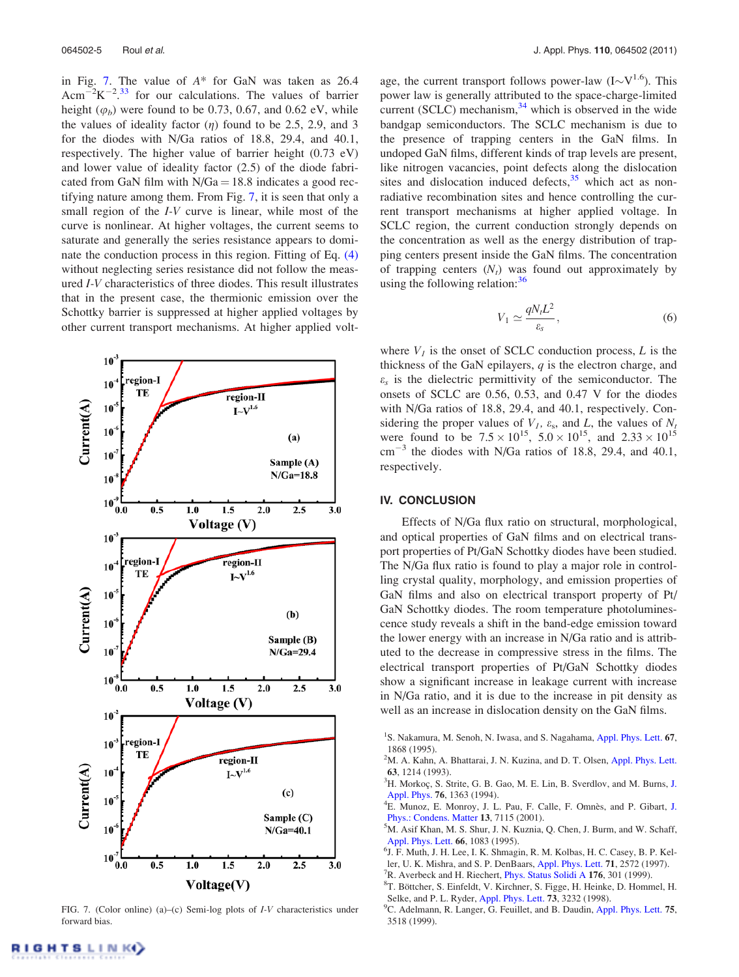in Fig. 7. The value of  $A^*$  for GaN was taken as 26.4 Acm<sup>-2</sup>K<sup>-2</sup>.<sup>33</sup> for our calculations. The values of barrier height  $(\varphi_b)$  were found to be 0.73, 0.67, and 0.62 eV, while the values of ideality factor  $(\eta)$  found to be 2.5, 2.9, and 3 for the diodes with N/Ga ratios of 18.8, 29.4, and 40.1, respectively. The higher value of barrier height (0.73 eV) and lower value of ideality factor (2.5) of the diode fabricated from GaN film with  $N/Ga = 18.8$  indicates a good rectifying nature among them. From Fig. 7, it is seen that only a small region of the I-V curve is linear, while most of the curve is nonlinear. At higher voltages, the current seems to saturate and generally the series resistance appears to dominate the conduction process in this region. Fitting of Eq. (4) without neglecting series resistance did not follow the measured I-V characteristics of three diodes. This result illustrates that in the present case, the thermionic emission over the Schottky barrier is suppressed at higher applied voltages by other current transport mechanisms. At higher applied volt-



FIG. 7. (Color online) (a)–(c) Semi-log plots of I-V characteristics under forward bias.

age, the current transport follows power-law  $(I \sim V^{1.6})$ . This power law is generally attributed to the space-charge-limited current (SCLC) mechanism, $34$  which is observed in the wide bandgap semiconductors. The SCLC mechanism is due to the presence of trapping centers in the GaN films. In undoped GaN films, different kinds of trap levels are present, like nitrogen vacancies, point defects along the dislocation sites and dislocation induced defects, $35$  which act as nonradiative recombination sites and hence controlling the current transport mechanisms at higher applied voltage. In SCLC region, the current conduction strongly depends on the concentration as well as the energy distribution of trapping centers present inside the GaN films. The concentration of trapping centers  $(N_t)$  was found out approximately by using the following relation: $36$ 

$$
V_1 \simeq \frac{qN_t L^2}{\varepsilon_s},\tag{6}
$$

where  $V_I$  is the onset of SCLC conduction process, L is the thickness of the GaN epilayers,  $q$  is the electron charge, and  $\varepsilon_s$  is the dielectric permittivity of the semiconductor. The onsets of SCLC are 0.56, 0.53, and 0.47 V for the diodes with N/Ga ratios of 18.8, 29.4, and 40.1, respectively. Considering the proper values of  $V_1$ ,  $\varepsilon_s$ , and  $L$ , the values of  $N_t$ were found to be  $7.5 \times 10^{15}$ ,  $5.0 \times 10^{15}$ , and  $2.33 \times 10^{15}$  $\text{cm}^{-3}$  the diodes with N/Ga ratios of 18.8, 29.4, and 40.1, respectively.

#### IV. CONCLUSION

Effects of N/Ga flux ratio on structural, morphological, and optical properties of GaN films and on electrical transport properties of Pt/GaN Schottky diodes have been studied. The N/Ga flux ratio is found to play a major role in controlling crystal quality, morphology, and emission properties of GaN films and also on electrical transport property of Pt/ GaN Schottky diodes. The room temperature photoluminescence study reveals a shift in the band-edge emission toward the lower energy with an increase in N/Ga ratio and is attributed to the decrease in compressive stress in the films. The electrical transport properties of Pt/GaN Schottky diodes show a significant increase in leakage current with increase in N/Ga ratio, and it is due to the increase in pit density as well as an increase in dislocation density on the GaN films.

- <sup>2</sup>M. A. Kahn, A. Bhattarai, J. N. Kuzina, and D. T. Olsen, Appl. Phys. Lett. 63, 1214 (1993).
- ${}^{3}$ H. Morkoç, S. Strite, G. B. Gao, M. E. Lin, B. Sverdlov, and M. Burns, J. Appl. Phys. 76, 1363 (1994).
- <sup>4</sup>E. Munoz, E. Monroy, J. L. Pau, F. Calle, F. Omnès, and P. Gibart, J. Phys.: Condens. Matter 13, 7115 (2001).
- <sup>5</sup>M. Asif Khan, M. S. Shur, J. N. Kuznia, Q. Chen, J. Burm, and W. Schaff, Appl. Phys. Lett. 66, 1083 (1995).
- 6 J. F. Muth, J. H. Lee, I. K. Shmagin, R. M. Kolbas, H. C. Casey, B. P. Keller, U. K. Mishra, and S. P. DenBaars, Appl. Phys. Lett. 71, 2572 (1997).
- $7R$ . Averbeck and H. Riechert, *Phys. Status Solidi A* 176, 301 (1999).
- <sup>8</sup>T. Böttcher, S. Einfeldt, V. Kirchner, S. Figge, H. Heinke, D. Hommel, H. Selke, and P. L. Ryder, Appl. Phys. Lett. 73, 3232 (1998).
- <sup>9</sup>C. Adelmann, R. Langer, G. Feuillet, and B. Daudin, Appl. Phys. Lett. 75, 3518 (1999).

<sup>&</sup>lt;sup>1</sup>S. Nakamura, M. Senoh, N. Iwasa, and S. Nagahama, Appl. Phys. Lett. 67, 1868 (1995).